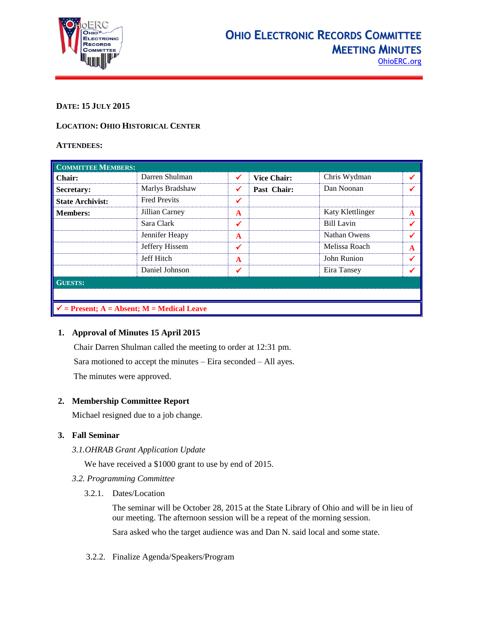

# **DATE: 15 JULY 2015**

### **LOCATION: OHIO HISTORICAL CENTER**

### **ATTENDEES:**

| <b>COMMITTEE MEMBERS:</b>                             |                     |              |                    |                   |              |  |
|-------------------------------------------------------|---------------------|--------------|--------------------|-------------------|--------------|--|
| <b>Chair:</b>                                         | Darren Shulman      | ✔            | <b>Vice Chair:</b> | Chris Wydman      | ✔            |  |
| Secretary:                                            | Marlys Bradshaw     | ✔            | Past Chair:        | Dan Noonan        | ✔            |  |
| <b>State Archivist:</b>                               | <b>Fred Previts</b> | ✔            |                    |                   |              |  |
| <b>Members:</b>                                       | Jillian Carney      | $\mathbf{A}$ |                    | Katy Klettlinger  | $\mathbf{A}$ |  |
|                                                       | Sara Clark          | ✔            |                    | <b>Bill Lavin</b> | ✔            |  |
|                                                       | Jennifer Heapy      | $\mathbf{A}$ |                    | Nathan Owens      | √            |  |
|                                                       | Jeffery Hissem      | ✔            |                    | Melissa Roach     | A            |  |
|                                                       | Jeff Hitch          | $\mathbf{A}$ |                    | John Runion       | $\checkmark$ |  |
|                                                       | Daniel Johnson      | ✔            |                    | Eira Tansey       |              |  |
| <b>GUESTS:</b>                                        |                     |              |                    |                   |              |  |
|                                                       |                     |              |                    |                   |              |  |
| $\checkmark$ = Present; A = Absent; M = Medical Leave |                     |              |                    |                   |              |  |

### **1. Approval of Minutes 15 April 2015**

Chair Darren Shulman called the meeting to order at 12:31 pm. Sara motioned to accept the minutes – Eira seconded – All ayes. The minutes were approved.

### **2. Membership Committee Report**

Michael resigned due to a job change.

# **3. Fall Seminar**

### *3.1.OHRAB Grant Application Update*

We have received a \$1000 grant to use by end of 2015.

- *3.2. Programming Committee*
	- 3.2.1. Dates/Location

The seminar will be October 28, 2015 at the State Library of Ohio and will be in lieu of our meeting. The afternoon session will be a repeat of the morning session.

Sara asked who the target audience was and Dan N. said local and some state.

3.2.2. Finalize Agenda/Speakers/Program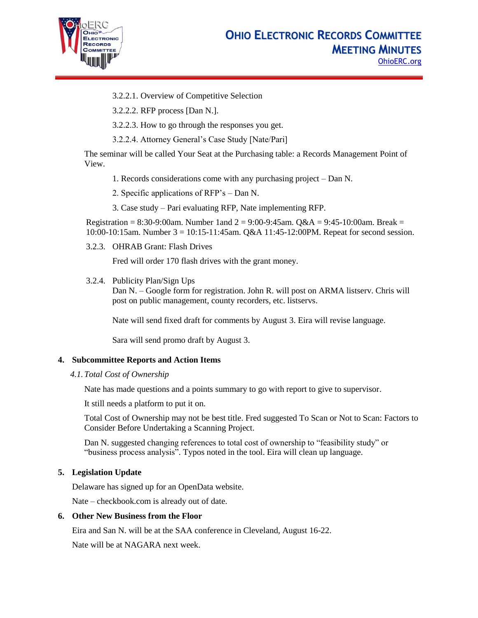

- 3.2.2.1. Overview of Competitive Selection
- 3.2.2.2. RFP process [Dan N.].
- 3.2.2.3. How to go through the responses you get.
- 3.2.2.4. Attorney General's Case Study [Nate/Pari]

The seminar will be called Your Seat at the Purchasing table: a Records Management Point of View.

- 1. Records considerations come with any purchasing project Dan N.
- 2. Specific applications of RFP's Dan N.
- 3. Case study Pari evaluating RFP, Nate implementing RFP.

Registration =  $8:30-9:00$ am. Number 1 and  $2 = 9:00-9:45$ am. Q&A =  $9:45-10:00$ am. Break = 10:00-10:15am. Number 3 = 10:15-11:45am. Q&A 11:45-12:00PM. Repeat for second session.

3.2.3. OHRAB Grant: Flash Drives

Fred will order 170 flash drives with the grant money.

3.2.4. Publicity Plan/Sign Ups

Dan N. – Google form for registration. John R. will post on ARMA listserv. Chris will post on public management, county recorders, etc. listservs.

Nate will send fixed draft for comments by August 3. Eira will revise language.

Sara will send promo draft by August 3.

### **4. Subcommittee Reports and Action Items**

*4.1.Total Cost of Ownership*

Nate has made questions and a points summary to go with report to give to supervisor.

It still needs a platform to put it on.

Total Cost of Ownership may not be best title. Fred suggested To Scan or Not to Scan: Factors to Consider Before Undertaking a Scanning Project.

Dan N. suggested changing references to total cost of ownership to "feasibility study" or "business process analysis". Typos noted in the tool. Eira will clean up language.

### **5. Legislation Update**

Delaware has signed up for an OpenData website.

Nate – checkbook.com is already out of date.

### **6. Other New Business from the Floor**

Eira and San N. will be at the SAA conference in Cleveland, August 16-22.

Nate will be at NAGARA next week.